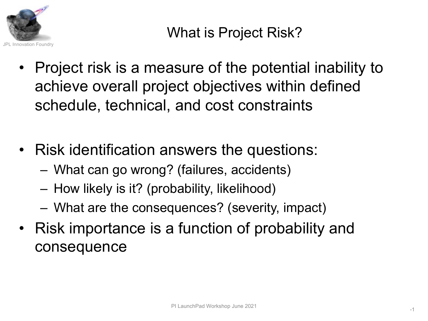

- Project risk is a measure of the potential inability to achieve overall project objectives within defined schedule, technical, and cost constraints
- Risk identification answers the questions:
	- What can go wrong? (failures, accidents)
	- How likely is it? (probability, likelihood)
	- What are the consequences? (severity, impact)
- Risk importance is a function of probability and consequence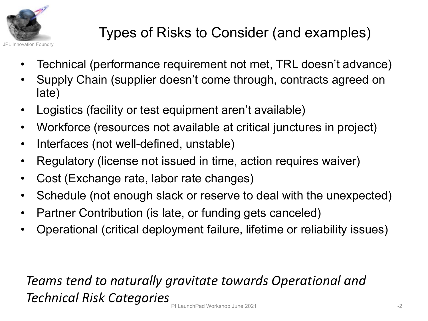

# Types of Risks to Consider (and examples)

- Technical (performance requirement not met, TRL doesn't advance)
- Supply Chain (supplier doesn't come through, contracts agreed on late)
- Logistics (facility or test equipment aren't available)
- Workforce (resources not available at critical junctures in project)
- Interfaces (not well-defined, unstable)
- Regulatory (license not issued in time, action requires waiver)
- Cost (Exchange rate, labor rate changes)
- Schedule (not enough slack or reserve to deal with the unexpected)
- Partner Contribution (is late, or funding gets canceled)
- Operational (critical deployment failure, lifetime or reliability issues)

## *Teams tend to naturally gravitate towards Operational and Technical Risk Categories* PI LaunchPad Workshop June 2021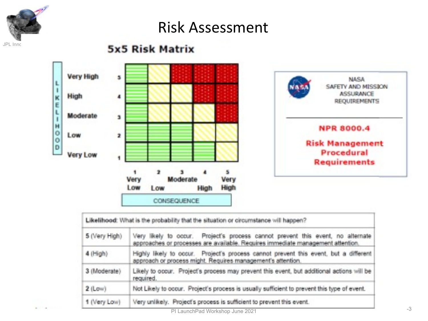

### Risk Assessment

#### **5x5 Risk Matrix**



|               | Likelihood: What is the probability that the situation or circumstance will happen?                                                                                |  |  |  |  |  |
|---------------|--------------------------------------------------------------------------------------------------------------------------------------------------------------------|--|--|--|--|--|
| 5 (Very High) | Very likely to occur. Project's process cannot prevent this event, no alternate<br>approaches or processes are available. Requires immediate management attention. |  |  |  |  |  |
| $4$ (High)    | Highly likely to occur. Project's process cannot prevent this event, but a different<br>approach or process might. Requires management's attention.                |  |  |  |  |  |
| 3 (Moderate)  | Likely to occur. Project's process may prevent this event, but additional actions will be<br>required.                                                             |  |  |  |  |  |
| $2$ (Low)     | Not Likely to occur. Project's process is usually sufficient to prevent this type of event.                                                                        |  |  |  |  |  |
| 1 (Very Low)  | Very unlikely. Project's process is sufficient to prevent this event.                                                                                              |  |  |  |  |  |
|               | PI Launch Pad Workshop June 2021                                                                                                                                   |  |  |  |  |  |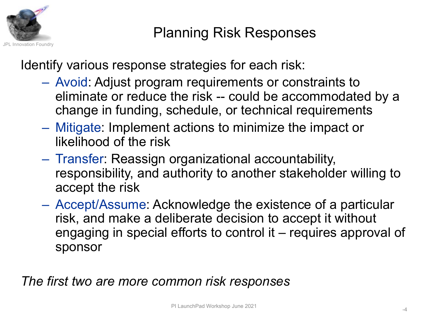

Identify various response strategies for each risk:

- Avoid: Adjust program requirements or constraints to eliminate or reduce the risk -- could be accommodated by a change in funding, schedule, or technical requirements
- Mitigate: Implement actions to minimize the impact or likelihood of the risk
- Transfer: Reassign organizational accountability, responsibility, and authority to another stakeholder willing to accept the risk
- Accept/Assume: Acknowledge the existence of a particular risk, and make a deliberate decision to accept it without engaging in special efforts to control it – requires approval of sponsor

*The first two are more common risk responses*